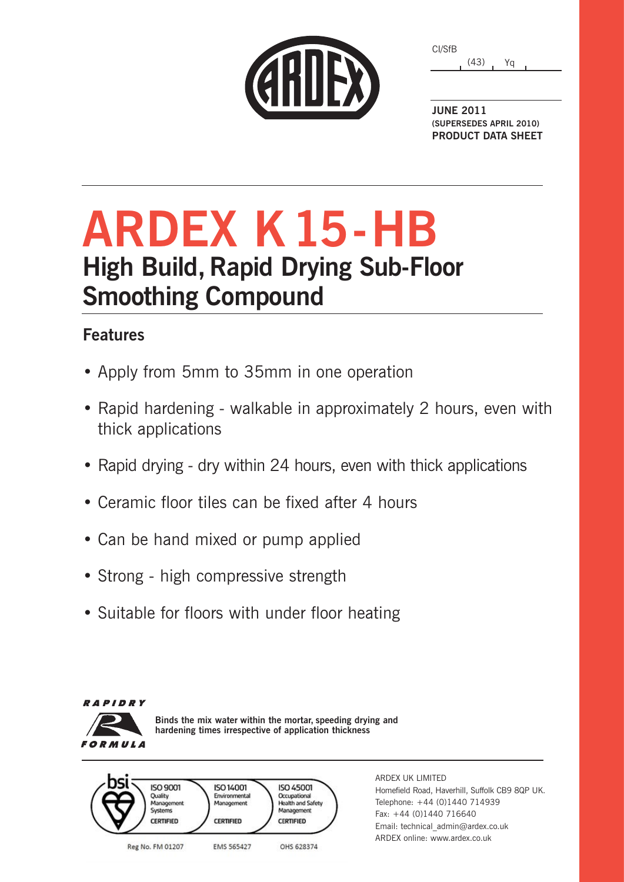| CARDEX |  |  |
|--------|--|--|
|        |  |  |

(43) Yq CI/SfB

**JUNE 2011 (SUPERSEDES APRIL 2010) PRODUCT DATA SHEET**

# **ARDEX K15-HB High Build, Rapid Drying Sub-Floor Smoothing Compound**

### **Features**

- Apply from 5mm to 35mm in one operation
- Rapid hardening walkable in approximately 2 hours, even with thick applications
- Rapid drying dry within 24 hours, even with thick applications
- Ceramic floor tiles can be fixed after 4 hours
- Can be hand mixed or pump applied
- Strong high compressive strength
- Suitable for floors with under floor heating



**Binds the mix water within the mortar, speeding drying and hardening times irrespective of application thickness**



ARDEX UK LIMITED Homefield Road, Haverhill, Suffolk CB9 8QP UK. Telephone: +44 (0)1440 714939 Fax: +44 (0)1440 716640 Email: technical\_admin@ardex.co.uk ARDEX online: www.ardex.co.uk